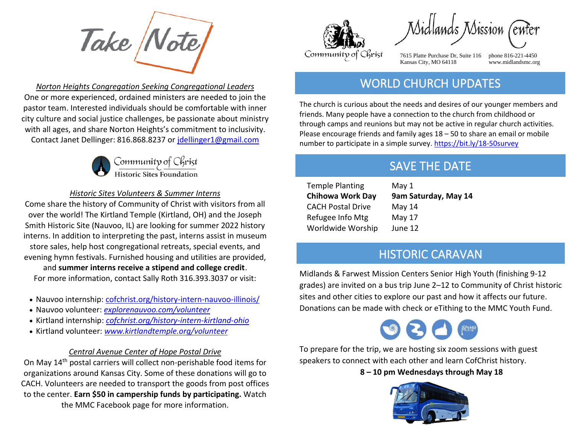Take Note

*Norton Heights Congregation Seeking Congregational Leaders*  One or more experienced, ordained ministers are needed to join the pastor team. Interested individuals should be comfortable with inner city culture and social justice challenges, be passionate about ministry with all ages, and share Norton Heights's commitment to inclusivity. Contact Janet Dellinger: 816.868.8237 or [jdellinger1@gmail.com](mailto:jdellinger1@gmail.com)



#### *Historic Sites Volunteers & Summer Interns*

Come share the history of Community of Christ with visitors from all over the world! The Kirtland Temple (Kirtland, OH) and the Joseph Smith Historic Site (Nauvoo, IL) are looking for summer 2022 history interns. In addition to interpreting the past, interns assist in museum store sales, help host congregational retreats, special events, and evening hymn festivals. Furnished housing and utilities are provided,

and **summer interns receive a stipend and college credit**. For more information, contact Sally Roth 316.393.3037 or visit:

- Nauvoo internship: [cofchrist.org/history-intern-nauvoo-illinois/](https://cofchrist.org/history-intern-nauvoo-illinois/)
- Nauvoo volunteer: *[explorenauvoo.com/volunteer](https://nam04.safelinks.protection.outlook.com/?url=https%3A%2F%2Fexplorenauvoo.com%2Fvolunteer&data=05%7C01%7Ckhnatyshyn%40cofchrist.org%7C3270eaacc6a6422d44a408da27c39a08%7C8afd0cc8f92c4ae0a7e2e6d4b8382b4e%7C0%7C0%7C637866018307638961%7CUnknown%7CTWFpbGZsb3d8eyJWIjoiMC4wLjAwMDAiLCJQIjoiV2luMzIiLCJBTiI6Ik1haWwiLCJXVCI6Mn0%3D%7C3000%7C%7C%7C&sdata=dwFtLQkXuwUK3ouGKPHXE2xH%2FY4ybWfr8bZUWofnD%2BQ%3D&reserved=0)*
- Kirtland internship: *[cofchrist.org/history-intern-kirtland-ohio](https://nam04.safelinks.protection.outlook.com/?url=https%3A%2F%2Fcofchrist.org%2Fhistory-intern-kirtland-ohio&data=05%7C01%7Ckhnatyshyn%40cofchrist.org%7C3270eaacc6a6422d44a408da27c39a08%7C8afd0cc8f92c4ae0a7e2e6d4b8382b4e%7C0%7C0%7C637866018307638961%7CUnknown%7CTWFpbGZsb3d8eyJWIjoiMC4wLjAwMDAiLCJQIjoiV2luMzIiLCJBTiI6Ik1haWwiLCJXVCI6Mn0%3D%7C3000%7C%7C%7C&sdata=oeaiyLrKP2Pa750rBzZXu6aiLvOfadSkrZJ5iaCSQe0%3D&reserved=0)*
- Kirtland volunteer: *[www.kirtlandtemple.org/volunteer](http://www.kirtlandtemple.org/volunteer)*

#### *Central Avenue Center of Hope Postal Drive*

On May 14th postal carriers will collect non-perishable food items for organizations around Kansas City. Some of these donations will go to CACH. Volunteers are needed to transport the goods from post offices to the center. **Earn \$50 in campership funds by participating.** Watch the MMC Facebook page for more information.



Sidlands Mission

7615 Platte Purchase Dr, Suite 116 phone 816-221-4450 Kansas City, MO 64118 www.midlandsmc.org

l

### WORLD CHURCH UPDATES

The church is curious about the needs and desires of our younger members and friends. Many people have a connection to the church from childhood or through camps and reunions but may not be active in regular church activities. Please encourage friends and family ages 18 – 50 to share an email or mobile number to participate in a simple survey.<https://bit.ly/18-50survey>

## SAVE THE DATE

Temple Planting May 1 CACH Postal Drive May 14 Refugee Info Mtg May 17 Worldwide Worship June 12

**Chihowa Work Day 9am Saturday, May 14**

#### HISTORIC CARAVAN

Midlands & Farwest Mission Centers Senior High Youth (finishing 9-12 grades) are invited on a bus trip June 2–12 to Community of Christ historic sites and other cities to explore our past and how it affects our future. Donations can be made with check or eTithing to the MMC Youth Fund.



To prepare for the trip, we are hosting six zoom sessions with guest speakers to connect with each other and learn CofChrist history.

**8 – 10 pm Wednesdays through May 18**